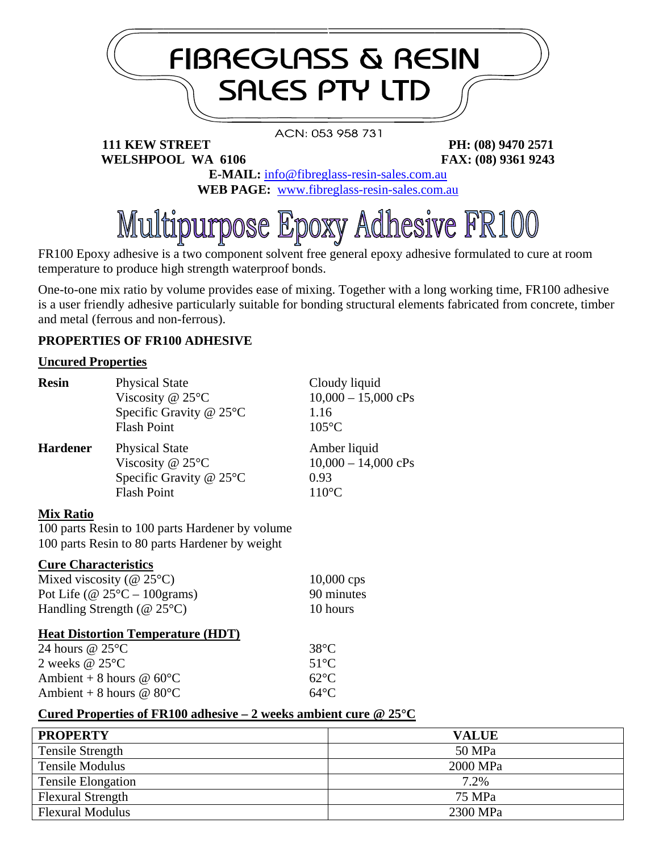

FR100 Epoxy adhesive is a two component solvent free general epoxy adhesive formulated to cure at room temperature to produce high strength waterproof bonds.

One-to-one mix ratio by volume provides ease of mixing. Together with a long working time, FR100 adhesive is a user friendly adhesive particularly suitable for bonding structural elements fabricated from concrete, timber and metal (ferrous and non-ferrous).

## **PROPERTIES OF FR100 ADHESIVE**

#### **Uncured Properties**

| <b>Resin</b>    | <b>Physical State</b><br>Viscosity @ $25^{\circ}$ C<br>Specific Gravity @ 25°C<br><b>Flash Point</b> | Cloudy liquid<br>$10,000 - 15,000$ cPs<br>1.16<br>$105^{\circ}$ C |
|-----------------|------------------------------------------------------------------------------------------------------|-------------------------------------------------------------------|
| <b>Hardener</b> | <b>Physical State</b><br>Viscosity @ $25^{\circ}$ C<br>Specific Gravity @ 25°C<br><b>Flash Point</b> | Amber liquid<br>$10,000 - 14,000$ cPs<br>0.93<br>$110^{\circ}$ C  |

#### **Mix Ratio**

100 parts Resin to 100 parts Hardener by volume 100 parts Resin to 80 parts Hardener by weight

#### **Cure Characteristics**

| Mixed viscosity ( $@ 25°C$ )           | $10,000$ cps |
|----------------------------------------|--------------|
| Pot Life (@ $25^{\circ}$ C – 100grams) | 90 minutes   |
| Handling Strength ( $@25°C$ )          | 10 hours     |

#### **Heat Distortion Temperature (HDT)**

| $38^{\circ}C$  |
|----------------|
| 51°C           |
| $62^{\circ}$ C |
| $64^{\circ}$ C |
|                |

## **Cured Properties of FR100 adhesive – 2 weeks ambient cure @ 25°C**

| <b>PROPERTY</b>           | <b>VALUE</b> |
|---------------------------|--------------|
| <b>Tensile Strength</b>   | 50 MPa       |
| <b>Tensile Modulus</b>    | 2000 MPa     |
| <b>Tensile Elongation</b> | 7.2%         |
| <b>Flexural Strength</b>  | 75 MPa       |
| <b>Flexural Modulus</b>   | 2300 MPa     |